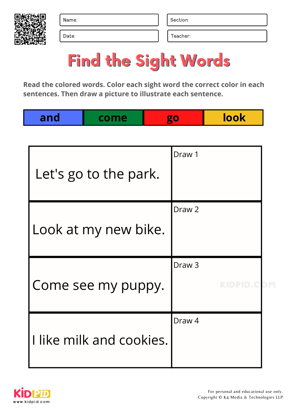

Date: Date: Teacher: Teacher: Teacher: Teacher: Teacher: Teacher: Teacher: Teacher: Teacher: Teacher: Teacher: Teacher: Teacher: Teacher: Teacher: Teacher: Teacher: Teacher: Teacher: Teacher: Teacher: Teacher: Teacher: Tea

# Find the Sight Words

| Let's go to the park.    | Draw 1                                 |  |
|--------------------------|----------------------------------------|--|
| Look at my new bike.     | Draw <sub>2</sub>                      |  |
| Come see my puppy.       | Draw <sub>3</sub><br><b>KIDPID.COM</b> |  |
| I like milk and cookies. | Draw <sub>4</sub>                      |  |

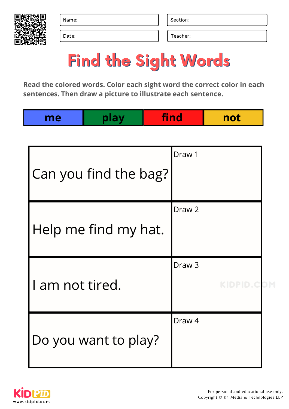

Date: Date: Teacher: Teacher: Teacher: Teacher: Teacher: Teacher: Teacher: Teacher: Teacher: Teacher: Teacher: Teacher: Teacher: Teacher: Teacher: Teacher: Teacher: Teacher: Teacher: Teacher: Teacher: Teacher: Teacher: Tea

# Find the Sight Words

|--|

| Can you find the bag? | Draw 1                          |  |
|-----------------------|---------------------------------|--|
| Help me find my hat.  | Draw <sub>2</sub>               |  |
| I am not tired.       | Draw <sub>3</sub><br>KIDPID.COM |  |
| Do you want to play?  | Draw <sub>4</sub>               |  |

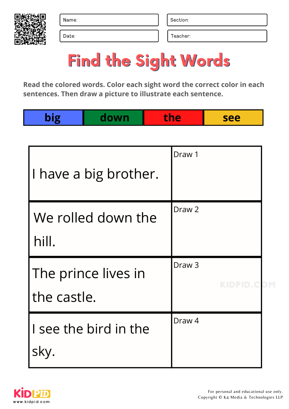

Date: Date: Teacher: Teacher: Teacher: Teacher: Teacher: Teacher: Teacher: Teacher: Teacher: Teacher: Teacher: Teacher: Teacher: Teacher: Teacher: Teacher: Teacher: Teacher: Teacher: Teacher: Teacher: Teacher: Teacher: Tea

# Find the Sight Words

| big         | down                  | the |                   | see        |  |
|-------------|-----------------------|-----|-------------------|------------|--|
|             |                       |     |                   |            |  |
|             | I have a big brother. |     | Draw 1            |            |  |
| hill.       | We rolled down the    |     | Draw <sub>2</sub> |            |  |
| the castle. | The prince lives in   |     | Draw <sub>3</sub> | KIDPID.COM |  |
| sky.        | I see the bird in the |     | Draw <sub>4</sub> |            |  |

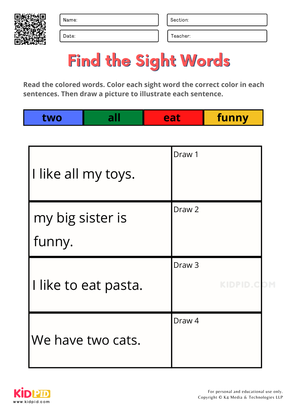

Date: Date: Teacher: Teacher: Teacher: Teacher: Teacher: Teacher: Teacher: Teacher: Teacher: Teacher: Teacher: Teacher: Teacher: Teacher: Teacher: Teacher: Teacher: Teacher: Teacher: Teacher: Teacher: Teacher: Teacher: Tea

# Find the Sight Words

|  | I<br>funny<br>. |
|--|-----------------|
|  |                 |

| I like all my toys.        | Draw 1                          |  |
|----------------------------|---------------------------------|--|
| my big sister is<br>funny. | Draw <sub>2</sub>               |  |
| I like to eat pasta.       | Draw <sub>3</sub><br>KIDPID.COM |  |
| We have two cats.          | Draw 4                          |  |

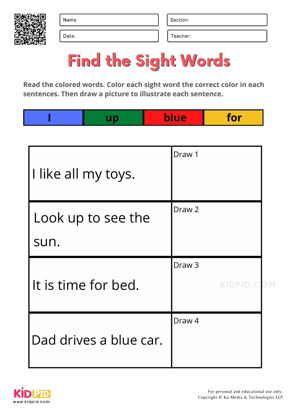

Date: Date: Teacher: Teacher: Teacher: Teacher: Teacher: Teacher: Teacher: Teacher: Teacher: Teacher: Teacher: Teacher: Teacher: Teacher: Teacher: Teacher: Teacher: Teacher: Teacher: Teacher: Teacher: Teacher: Teacher: Tea

### Find the Sight Words

|--|

| I like all my toys.        | Draw 1                          |  |
|----------------------------|---------------------------------|--|
| Look up to see the<br>sun. | Draw <sub>2</sub>               |  |
| It is time for bed.        | Draw <sub>3</sub><br>KIDPID.COM |  |
| Dad drives a blue car.     | Draw <sub>4</sub>               |  |